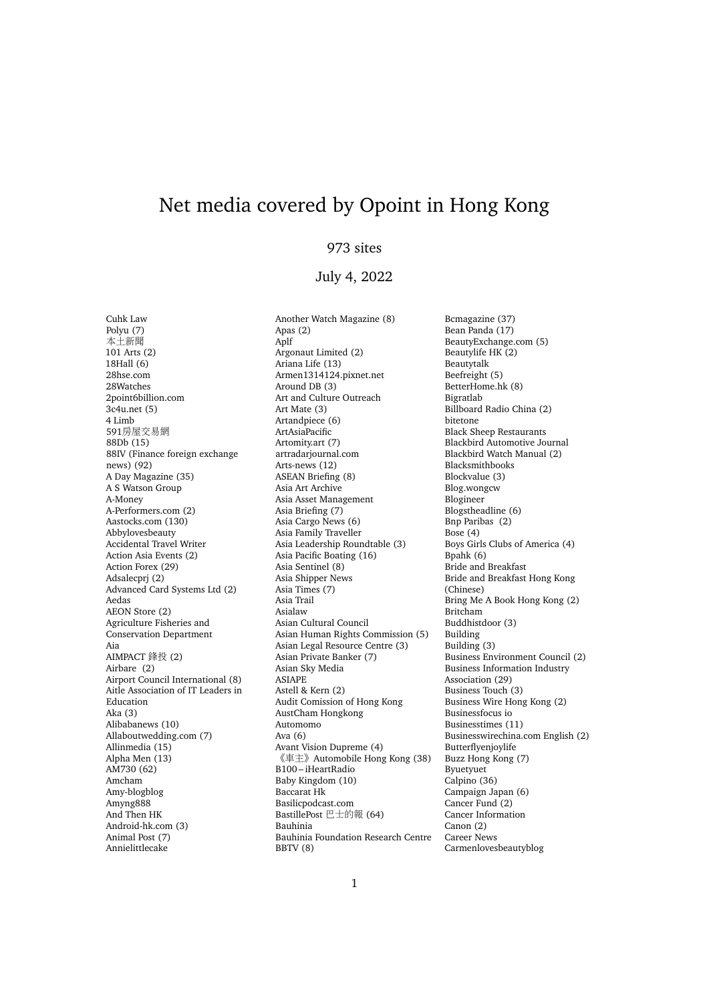## Net media covered by Opoint in Hong Kong

## 973 sites

## July 4, 2022

Cuhk Law Polyu (7) 本土新聞 101 Arts (2) 18Hall (6) 28hse.com 28Watches 2point6billion.com 3c4u.net (5) 4 Limb <sup>591</sup>房屋交易<sup>網</sup> 88Db (15) 88IV (Finance foreign exchange news) (92) A Day Magazine (35) A S Watson Group A-Money A-Performers.com (2) Aastocks.com (130) Abbylovesbeauty Accidental Travel Writer Action Asia Events (2) Action Forex (29) Adsalecprj (2) Advanced Card Systems Ltd (2) Aedas AEON Store (2) Agriculture Fisheries and Conservation Department Aia AIMPACT 鋒投 (2) Airbare (2) Airport Council International (8) Aitle Association of IT Leaders in Education Aka (3) Alibabanews (10) Allaboutwedding.com (7) Allinmedia (15) Alpha Men (13) AM730 (62) Amcham Amy-blogblog Amyng888 And Then HK Android-hk.com (3) Animal Post (7) Annielittlecake

Another Watch Magazine (8) Apas (2) Aplf Argonaut Limited (2) Ariana Life (13) Armen1314124.pixnet.net Around DB (3) Art and Culture Outreach Art Mate (3) Artandpiece (6) ArtAsiaPacific Artomity.art (7) artradarjournal.com Arts-news (12) ASEAN Briefing (8) Asia Art Archive Asia Asset Management Asia Briefing (7) Asia Cargo News (6) Asia Family Traveller Asia Leadership Roundtable (3) Asia Pacific Boating (16) Asia Sentinel (8) Asia Shipper News Asia Times (7) Asia Trail Asialaw Asian Cultural Council Asian Human Rights Commission (5) Asian Legal Resource Centre (3) Asian Private Banker (7) Asian Sky Media ASIAPE Astell & Kern (2) Audit Comission of Hong Kong AustCham Hongkong Automomo Ava (6) Avant Vision Dupreme (4) 《車主》Automobile Hong Kong (38) B100 – iHeartRadio Baby Kingdom (10) Baccarat Hk Basilicpodcast.com BastillePost <sup>巴</sup>士的<sup>報</sup> (64) Bauhinia Bauhinia Foundation Research Centre BBTV (8)

Bcmagazine (37) Bean Panda (17) BeautyExchange.com (5) Beautylife HK (2) Beautytalk Beefreight (5) BetterHome.hk (8) Bigratlab Billboard Radio China (2) bitetone Black Sheep Restaurants Blackbird Automotive Journal Blackbird Watch Manual (2) Blacksmithbooks Blockvalue (3) Blog.wongcw Blogineer Blogstheadline (6) Bnp Paribas (2) Bose (4) Boys Girls Clubs of America (4) Bpahk (6) Bride and Breakfast Bride and Breakfast Hong Kong (Chinese) Bring Me A Book Hong Kong (2) Britcham Buddhistdoor (3) Building Building (3) Business Environment Council (2) Business Information Industry Association (29) Business Touch (3) Business Wire Hong Kong (2) Businessfocus io Businesstimes (11) Businesswirechina.com English (2) Butterflyenjoylife Buzz Hong Kong (7) Byuetyuet Calpino (36) Campaign Japan (6) Cancer Fund (2) Cancer Information Canon (2) Career News Carmenlovesbeautyblog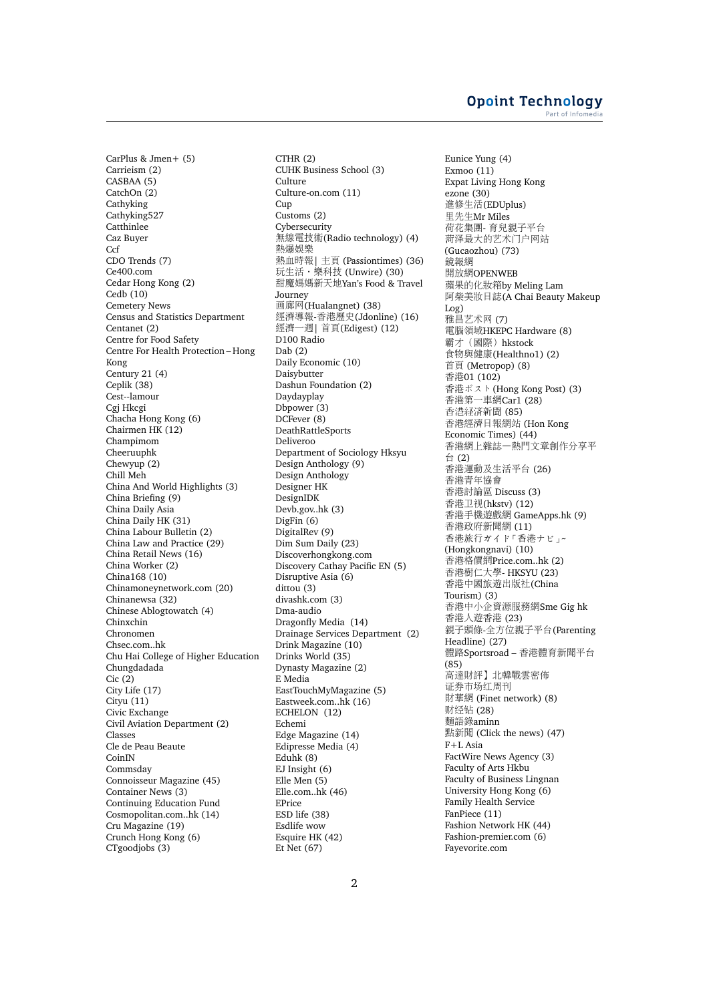CarPlus & Jmen+ (5) Carrieism (2) CASBAA (5) CatchOn (2) Cathyking Cathyking527 **Catthinlee** Caz Buyer **Ccf** CDO Trends (7) Ce400.com Cedar Hong Kong (2) Cedb (10) Cemetery News Census and Statistics Department Centanet (2) Centre for Food Safety Centre For Health Protection – Hong Kong Century 21 (4) Ceplik (38) Cest--lamour Cgj Hkcgi Chacha Hong Kong (6) Chairmen HK (12) Champimom Cheeruuphk Chewyup (2) Chill Meh China And World Highlights (3) China Briefing (9) China Daily Asia China Daily HK (31) China Labour Bulletin (2) China Law and Practice (29) China Retail News (16) China Worker (2) China168 (10) Chinamoneynetwork.com (20) Chinanewsa (32) Chinese Ablogtowatch (4) Chinxchin Chronomen Chsec.com..hk Chu Hai College of Higher Education Chungdadada Cic (2) City Life (17) Cityu (11) Civic Exchange Civil Aviation Department (2) Classes Cle de Peau Beaute CoinIN Commsday Connoisseur Magazine (45) Container News (3) Continuing Education Fund Cosmopolitan.com..hk (14) Cru Magazine (19) Crunch Hong Kong (6) CTgoodjobs (3)

CTHR (2) CUHK Business School (3) Culture Culture-on.com (11) Cup Customs (2) Cybersecurity <sup>無</sup>線電技術(Radio technology) (4) <sup>熱</sup>爆娛<sup>樂</sup> 熱血時報| 主頁 (Passiontimes) (36) ……<br>玩生活·樂科技 (Unwire) (30) 甜魔媽媽新天地Yan's Food & Travel Journey 画廊网(Hualangnet) (38) <sup>經</sup>濟導報-香港歷史(Jdonline) (16) **經濟一週| 首頁(Edigest) (12)** D100 Radio Dab (2) Daily Economic (10) Daisybutter Dashun Foundation (2) Daydayplay Dbpower (3) DCFever (8) DeathRattleSports Deliveroo Department of Sociology Hksyu Design Anthology (9) Design Anthology Designer HK DesignIDK Devb.gov..hk (3) DigFin (6) DigitalRev (9) Dim Sum Daily (23) Discoverhongkong.com Discovery Cathay Pacific EN (5) Disruptive Asia (6) dittou (3) divashk.com (3) Dma-audio Dragonfly Media (14) Drainage Services Department (2) Drink Magazine (10) Drinks World (35) Dynasty Magazine (2) E Media EastTouchMyMagazine (5) Eastweek.com..hk (16) ECHELON (12) Echemi Edge Magazine (14) Edipresse Media (4) Eduhk (8) EJ Insight (6) Elle Men (5) Elle.com..hk (46) EPrice ESD life (38) Esdlife wow Esquire HK (42) Et Net (67)

Eunice Yung (4) Exmoo (11) Expat Living Hong Kong ezone (30) <sup>進</sup>修生活(EDUplus) <sup>里</sup>先生Mr Miles <sup>荷</sup>花集團- 育兒親子平台 <sup>菏</sup>泽最大的艺术门户网站 (Gucaozhou) (73) 鏡報<sup>網</sup> 開放網OPENWEB <sup>蘋</sup>果的化妝箱by Meling Lam <sup>阿</sup>柴美妝日誌(A Chai Beauty Makeup Log) 雅昌艺术网 (7) <sup>電</sup>腦領域HKEPC Hardware (8) <sup>霸</sup>才(國際)hkstock <sup>食</sup>物與健康(Healthno1) (2) 首頁 (Metropop) (8) 香港01 (102) 香港ポスト(Hong Kong Post) (3) 香港第一車網Car1 (28) 香港経済新聞 (85) 香港經濟日報網站 (Hon Kong Economic Times) (44) <sup>香</sup>港網上雜誌–熱門文章創作分享<sup>平</sup> 台 (2) <sup>香</sup>港運動及生活平台 (26) <sup>香</sup>港青年協會 <sup>香</sup>港討論區 Discuss (3) 香港卫视(hkstv) (12) <sup>香</sup>港手機遊戲<sup>網</sup> GameApps.hk (9) <sup>香</sup>港政府新聞<sup>網</sup> (11) 香港旅行ガイド「香港ナビ」~ (Hongkongnavi) (10) <sup>香</sup>港格價網Price.com..hk (2) <sup>香</sup>港樹仁大學- HKSYU (23) <sup>香</sup>港中國旅遊出版社(China Tourism) (3) <sup>香</sup>港中小企資源服務網Sme Gig hk 香港人遊香港 (23) 親子頭條-全方位親子平台(Parenting Headline) (27) <sup>體</sup>路Sportsroad – <sup>香</sup>港體育新聞平台 (85) <sup>高</sup>達財評】北韓戰雲密佈 证券市场红周刊 財華網 (Finet network) (8) 财经钻 (28) 麵語錄aminn 點新聞 (Click the news) (47) F+L Asia FactWire News Agency (3) Faculty of Arts Hkbu Faculty of Business Lingnan University Hong Kong (6) Family Health Service FanPiece (11) Fashion Network HK (44) Fashion-premier.com (6) Fayevorite.com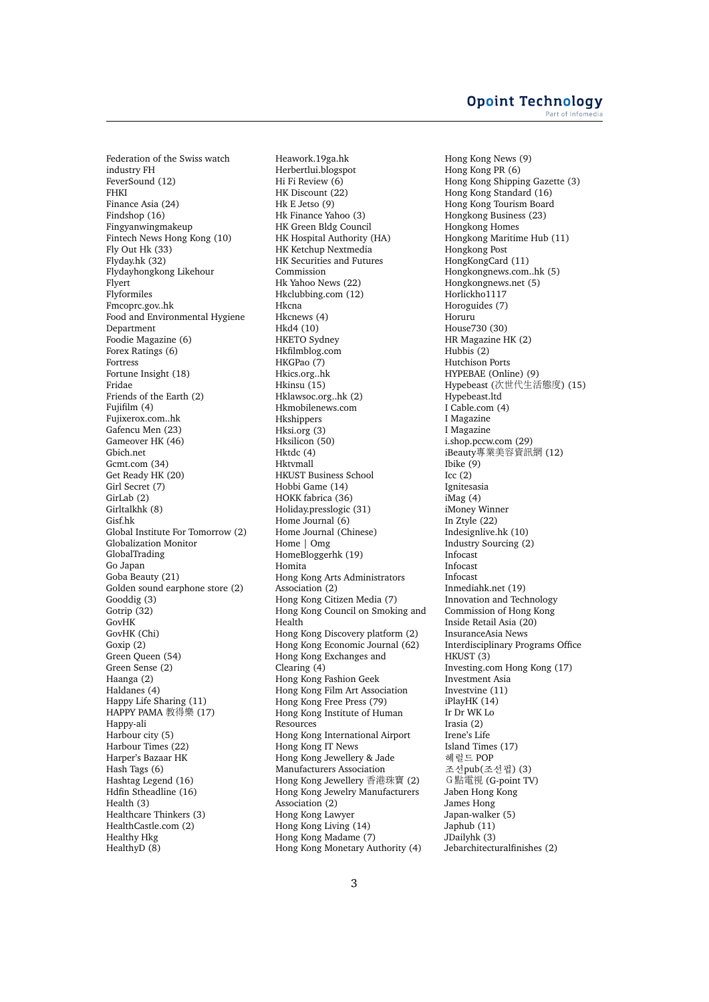Federation of the Swiss watch industry FH FeverSound (12) FHKI Finance Asia (24) Findshop (16) Fingyanwingmakeup Fintech News Hong Kong (10) Fly Out Hk (33) Flyday.hk (32) Flydayhongkong Likehour Flyert Flyformiles Fmcoprc.gov..hk Food and Environmental Hygiene Department Foodie Magazine (6) Forex Ratings (6) Fortress Fortune Insight (18) Fridae Friends of the Earth (2) Fujifilm (4) Fujixerox.com..hk Gafencu Men (23) Gameover HK (46) Gbich.net Gcmt.com (34) Get Ready HK (20) Girl Secret (7) GirLab (2) Girltalkhk (8) Gisf.hk Global Institute For Tomorrow (2) Globalization Monitor GlobalTrading Go Japan Goba Beauty (21) Golden sound earphone store (2) Gooddig (3) Gotrip (32) GovHK GovHK (Chi) Goxip (2) Green Queen (54) Green Sense (2) Haanga (2) Haldanes (4) Happy Life Sharing (11) HAPPY PAMA <sup>教</sup>得<sup>樂</sup> (17) Happy-ali Harbour city (5) Harbour Times (22) Harper's Bazaar HK Hash Tags (6) Hashtag Legend (16) Hdfin Stheadline (16) Health (3) Healthcare Thinkers (3) HealthCastle.com (2) Healthy Hkg HealthyD (8)

Heawork.19ga.hk Herbertlui.blogspot Hi Fi Review (6) HK Discount (22) Hk E Jetso (9) Hk Finance Yahoo (3) HK Green Bldg Council HK Hospital Authority (HA) HK Ketchup Nextmedia HK Securities and Futures Commission Hk Yahoo News (22) Hkclubbing.com (12) Hkcna Hkcnews (4) Hkd4 (10) HKETO Sydney Hkfilmblog.com HKGPao (7) Hkics.org..hk Hkinsu (15) Hklawsoc.org..hk (2) Hkmobilenews.com Hkshippers Hksi.org (3) Hksilicon (50) Hktdc (4) Hktvmall HKUST Business School Hobbi Game (14) HOKK fabrica (36) Holiday.presslogic (31) Home Journal (6) Home Journal (Chinese) Home | Omg HomeBloggerhk (19) Homita Hong Kong Arts Administrators Association (2) Hong Kong Citizen Media (7) Hong Kong Council on Smoking and Health Hong Kong Discovery platform (2) Hong Kong Economic Journal (62) Hong Kong Exchanges and Clearing (4) Hong Kong Fashion Geek Hong Kong Film Art Association Hong Kong Free Press (79) Hong Kong Institute of Human Resources Hong Kong International Airport Hong Kong IT News Hong Kong Jewellery & Jade Manufacturers Association Hong Kong Jewellery 香港珠寶 (2) Hong Kong Jewelry Manufacturers Association (2) Hong Kong Lawyer Hong Kong Living (14) Hong Kong Madame (7) Hong Kong Monetary Authority (4)

Hong Kong News (9) Hong Kong PR (6) Hong Kong Shipping Gazette (3) Hong Kong Standard (16) Hong Kong Tourism Board Hongkong Business (23) Hongkong Homes Hongkong Maritime Hub (11) Hongkong Post HongKongCard (11) Hongkongnews.com..hk (5) Hongkongnews.net (5) Horlickho1117 Horoguides (7) Horuru House730 (30) HR Magazine HK (2) Hubbis (2) Hutchison Ports HYPEBAE (Online) (9) Hypebeast (次世代生活態度) (15) Hypebeast.ltd I Cable.com (4) I Magazine I Magazine i.shop.pccw.com (29) iBeauty專業美容資訊網 (12) Ibike (9) Icc (2) Ignitesasia iMag (4) iMoney Winner In Ztyle (22) Indesignlive.hk (10) Industry Sourcing (2) Infocast Infocast Infocast Inmediahk.net (19) Innovation and Technology Commission of Hong Kong Inside Retail Asia (20) InsuranceAsia News Interdisciplinary Programs Office HKUST (3) Investing.com Hong Kong (17) Investment Asia Investvine (11) iPlayHK (14) Ir Dr WK Lo Irasia (2) Irene's Life Island Times (17) 헤럴드 POP 조선pub(조선펍) (3) <sup>G</sup>點電視 (G-point TV) Jaben Hong Kong James Hong Japan-walker (5) Japhub (11) JDailyhk (3) Jebarchitecturalfinishes (2)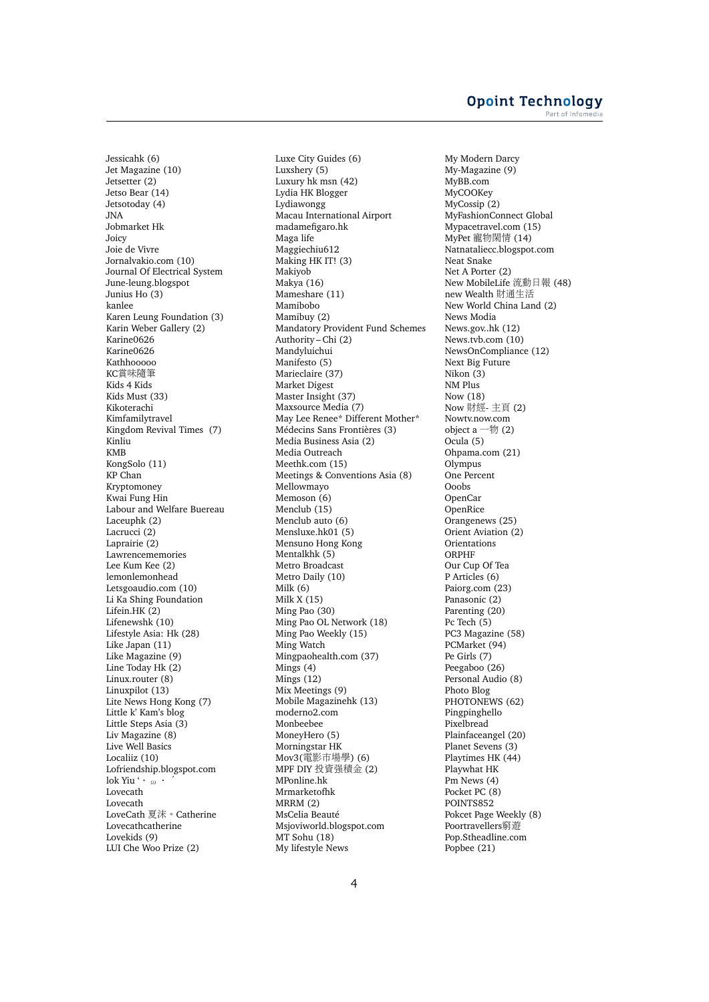Jessicahk (6) Jet Magazine (10) Jetsetter (2) Jetso Bear (14) Jetsotoday (4) JNA Jobmarket Hk Joicy Joie de Vivre Jornalvakio.com (10) Journal Of Electrical System June-leung.blogspot Junius Ho (3) kanlee Karen Leung Foundation (3) Karin Weber Gallery (2) Karine0626 Karine0626 Kathhooooo KC賞味隨筆 Kids 4 Kids Kids Must (33) Kikoterachi Kimfamilytravel Kingdom Revival Times (7) Kinliu KMB KongSolo (11) KP Chan Kryptomoney Kwai Fung Hin Labour and Welfare Buereau Laceuphk (2) Lacrucci (2) Laprairie (2) Lawrencememories Lee Kum Kee (2) lemonlemonhead Letsgoaudio.com (10) Li Ka Shing Foundation Lifein.HK (2) Lifenewshk (10) Lifestyle Asia: Hk (28) Like Japan (11) Like Magazine (9) Line Today Hk (2) Linux.router (8) Linuxpilot (13) Lite News Hong Kong (7) Little k' Kam's blog Little Steps Asia (3) Liv Magazine (8) Live Well Basics Localiiz (10) Lofriendship.blogspot.com lok Yiu '・ω・´ Lovecath Lovecath LoveCath 夏沫。Catherine Lovecathcatherine Lovekids (9) LUI Che Woo Prize (2)

Luxe City Guides (6) Luxshery (5) Luxury hk msn (42) Lydia HK Blogger Lydiawongg Macau International Airport madamefigaro.hk Maga life Maggiechiu612 Making HK IT! (3) Makiyob Makya (16) Mameshare (11) Mamibobo Mamibuy (2) Mandatory Provident Fund Schemes Authority – Chi (2) Mandyluichui Manifesto (5) Marieclaire (37) Market Digest Master Insight (37) Maxsource Media (7) May Lee Renee\* Different Mother\* Médecins Sans Frontières (3) Media Business Asia (2) Media Outreach Meethk.com (15) Meetings & Conventions Asia (8) Mellowmayo Memoson (6) Menclub (15) Menclub auto (6) Mensluxe.hk01 (5) Mensuno Hong Kong Mentalkhk (5) Metro Broadcast Metro Daily (10) Milk (6) Milk X (15) Ming Pao (30) Ming Pao OL Network (18) Ming Pao Weekly (15) Ming Watch Mingpaohealth.com (37) Mings (4) Mings (12) Mix Meetings (9) Mobile Magazinehk (13) moderno2.com Monbeebee MoneyHero (5) Morningstar HK Mov3(電影市場學) (6) MPF DIY 投資強積<sup>金</sup> (2) MPonline.hk Mrmarketofhk MRRM (2) MsCelia Beauté Msjoviworld.blogspot.com MT Sohu (18) My lifestyle News

My Modern Darcy My-Magazine (9) MyBB.com MyCOOKey MyCossip (2) MyFashionConnect Global Mypacetravel.com (15) MyPet <sup>寵</sup>物閑<sup>情</sup> (14) Natnataliecc.blogspot.com Neat Snake Net A Porter (2) New MobileLife 流動日報 (48) new Wealth <sup>財</sup>通生<sup>活</sup> New World China Land (2) News Modia News.gov..hk (12) News.tvb.com (10) NewsOnCompliance (12) Next Big Future Nikon (3) NM Plus Now (18) Now 財經- 主頁 (2) Nowtv.now.com object  $a - \frac{1}{2}$  (2) Ocula (5) Ohpama.com (21) Olympus One Percent Ooobs OpenCar OpenRice Orangenews (25) Orient Aviation (2) **Orientations** ORPHF Our Cup Of Tea P Articles (6) Paiorg.com (23) Panasonic (2) Parenting (20) Pc Tech (5) PC3 Magazine (58) PCMarket (94) Pe Girls (7) Peegaboo (26) Personal Audio (8) Photo Blog PHOTONEWS (62) Pingpinghello Pixelbread Plainfaceangel (20) Planet Sevens (3) Playtimes HK (44) Playwhat HK Pm News (4) Pocket PC (8) POINTS852 Pokcet Page Weekly (8) Poortravellers窮遊 Pop.Stheadline.com Popbee (21)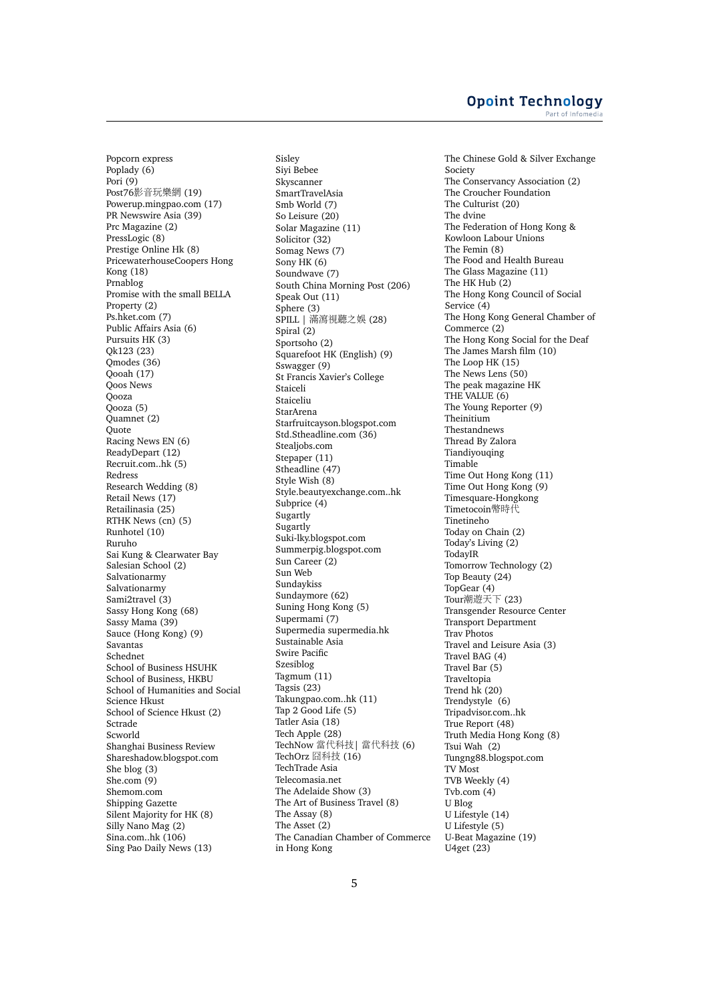Popcorn express Poplady (6) Pori (9) Post76影音玩樂<sup>網</sup> (19) Powerup.mingpao.com (17) PR Newswire Asia (39) Prc Magazine (2) PressLogic (8) Prestige Online Hk (8) PricewaterhouseCoopers Hong Kong (18) Prnablog Promise with the small BELLA Property (2) Ps.hket.com (7) Public Affairs Asia (6) Pursuits HK (3) Qk123 (23) Qmodes (36) Qooah (17) Qoos News Qooza Qooza (5) Quamnet (2) **Ouote** Racing News EN (6) ReadyDepart (12) Recruit.com..hk (5) Redress Research Wedding (8) Retail News (17) Retailinasia (25) RTHK News (cn) (5) Runhotel (10) Ruruho Sai Kung & Clearwater Bay Salesian School (2) Salvationarmy Salvationarmy Sami2travel (3) Sassy Hong Kong (68) Sassy Mama (39) Sauce (Hong Kong) (9) Savantas Schednet School of Business HSUHK School of Business, HKBU School of Humanities and Social Science Hkust School of Science Hkust (2) Sctrade Scworld Shanghai Business Review Shareshadow.blogspot.com She blog (3) She.com (9) Shemom.com Shipping Gazette Silent Majority for HK (8) Silly Nano Mag (2) Sina.com..hk (106) Sing Pao Daily News (13)

Sisley Siyi Bebee Skyscanner SmartTravelAsia Smb World (7) So Leisure (20) Solar Magazine (11) Solicitor (32) Somag News (7) Sony HK (6) Soundwave (7) South China Morning Post (206) Speak Out (11) Sphere (3) SPILL | <sup>滿</sup>瀉視聽之<sup>娛</sup> (28) Spiral (2) Sportsoho (2) Squarefoot HK (English) (9) Sswagger (9) St Francis Xavier's College Staiceli Staiceliu StarArena Starfruitcayson.blogspot.com Std.Stheadline.com (36) Stealjobs.com Stepaper (11) Stheadline (47) Style Wish (8) Style.beautyexchange.com..hk Subprice (4) Sugartly Sugartly Suki-lky.blogspot.com Summerpig.blogspot.com Sun Career (2) Sun Web Sundaykiss Sundaymore (62) Suning Hong Kong (5) Supermami (7) Supermedia supermedia.hk Sustainable Asia Swire Pacific Szesiblog Tagmum (11) Tagsis (23) Takungpao.com..hk (11) Tap 2 Good Life (5) Tatler Asia (18) Tech Apple (28) TechNow 當代科技<sup>|</sup> 當代科技 (6) TechOrz <sup>囧</sup>科技 (16) TechTrade Asia Telecomasia.net The Adelaide Show (3) The Art of Business Travel (8) The Assay (8) The Asset (2) The Canadian Chamber of Commerce in Hong Kong

The Chinese Gold & Silver Exchange Society The Conservancy Association (2) The Croucher Foundation The Culturist (20) The dvine The Federation of Hong Kong & Kowloon Labour Unions The Femin (8) The Food and Health Bureau The Glass Magazine (11) The HK Hub (2) The Hong Kong Council of Social Service (4) The Hong Kong General Chamber of Commerce (2) The Hong Kong Social for the Deaf The James Marsh film (10) The Loop HK (15) The News Lens (50) The peak magazine HK THE VALUE (6) The Young Reporter (9) Theinitium Thestandnews Thread By Zalora Tiandiyouqing Timable Time Out Hong Kong (11) Time Out Hong Kong (9) Timesquare-Hongkong Timetocoin幣時代 Tinetineho Today on Chain (2) Today's Living (2) TodayIR Tomorrow Technology (2) Top Beauty (24) TopGear (4) Tour潮遊天<sup>下</sup> (23) Transgender Resource Center Transport Department Trav Photos Travel and Leisure Asia (3) Travel BAG (4) Travel Bar (5) Traveltopia Trend hk (20) Trendystyle (6) Tripadvisor.com..hk True Report (48) Truth Media Hong Kong (8) Tsui Wah (2) Tungng88.blogspot.com TV Most TVB Weekly (4) Tyb.com  $(4)$ U Blog U Lifestyle (14) U Lifestyle (5) U-Beat Magazine (19) U4get (23)